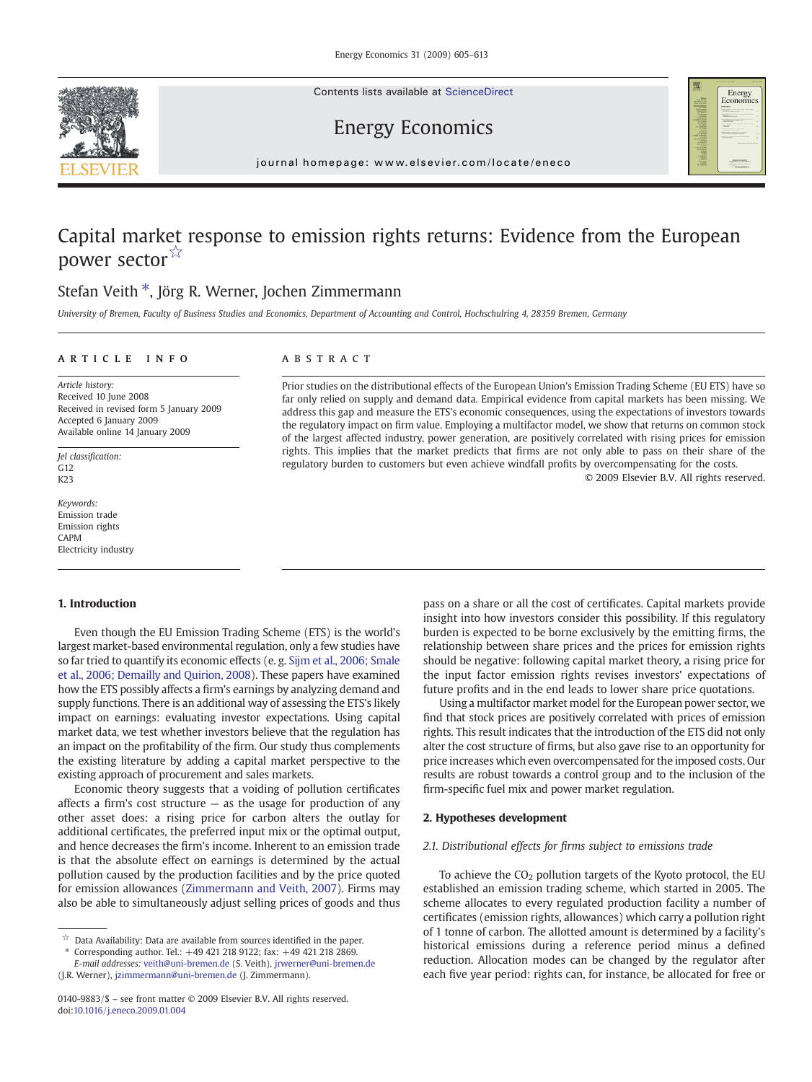Contents lists available at ScienceDirect





## Energy Economics

journal homepage: www.elsevier.com/locate/eneco

## Capital market response to emission rights returns: Evidence from the European power sector☆

# Stefan Veith  $*$ , Jörg R. Werner, Jochen Zimmermann

University of Bremen, Faculty of Business Studies and Economics, Department of Accounting and Control, Hochschulring 4, 28359 Bremen, Germany

### article info abstract

Article history: Received 10 June 2008 Received in revised form 5 January 2009 Accepted 6 January 2009 Available online 14 January 2009

Jel classification:  $G<sub>12</sub>$ K23

Keywords: Emission trade Emission rights CAPM Electricity industry

#### 1. Introduction

Even though the EU Emission Trading Scheme (ETS) is the world's largest market-based environmental regulation, only a few studies have so far tried to quantify its economic effects (e. g. [Sijm et al., 2006; Smale](#page--1-0) [et al., 2006; Demailly and Quirion, 2008\)](#page--1-0). These papers have examined how the ETS possibly affects a firm's earnings by analyzing demand and supply functions. There is an additional way of assessing the ETS's likely impact on earnings: evaluating investor expectations. Using capital market data, we test whether investors believe that the regulation has an impact on the profitability of the firm. Our study thus complements the existing literature by adding a capital market perspective to the existing approach of procurement and sales markets.

Economic theory suggests that a voiding of pollution certificates affects a firm's cost structure  $-$  as the usage for production of any other asset does: a rising price for carbon alters the outlay for additional certificates, the preferred input mix or the optimal output, and hence decreases the firm's income. Inherent to an emission trade is that the absolute effect on earnings is determined by the actual pollution caused by the production facilities and by the price quoted for emission allowances [\(Zimmermann and Veith, 2007](#page--1-0)). Firms may also be able to simultaneously adjust selling prices of goods and thus

⁎ Corresponding author. Tel.: +49 421 218 9122; fax: +49 421 218 2869. E-mail addresses: [veith@uni-bremen.de](mailto:veith@uni-bremen.de) (S. Veith), [jrwerner@uni-bremen.de](mailto:jrwerner@uni-bremen.de)

Prior studies on the distributional effects of the European Union's Emission Trading Scheme (EU ETS) have so far only relied on supply and demand data. Empirical evidence from capital markets has been missing. We address this gap and measure the ETS's economic consequences, using the expectations of investors towards the regulatory impact on firm value. Employing a multifactor model, we show that returns on common stock of the largest affected industry, power generation, are positively correlated with rising prices for emission rights. This implies that the market predicts that firms are not only able to pass on their share of the regulatory burden to customers but even achieve windfall profits by overcompensating for the costs. © 2009 Elsevier B.V. All rights reserved.

> pass on a share or all the cost of certificates. Capital markets provide insight into how investors consider this possibility. If this regulatory burden is expected to be borne exclusively by the emitting firms, the relationship between share prices and the prices for emission rights should be negative: following capital market theory, a rising price for the input factor emission rights revises investors' expectations of future profits and in the end leads to lower share price quotations.

> Using a multifactor market model for the European power sector, we find that stock prices are positively correlated with prices of emission rights. This result indicates that the introduction of the ETS did not only alter the cost structure of firms, but also gave rise to an opportunity for price increases which even overcompensated for the imposed costs. Our results are robust towards a control group and to the inclusion of the firm-specific fuel mix and power market regulation.

#### 2. Hypotheses development

#### 2.1. Distributional effects for firms subject to emissions trade

To achieve the  $CO<sub>2</sub>$  pollution targets of the Kyoto protocol, the EU established an emission trading scheme, which started in 2005. The scheme allocates to every regulated production facility a number of certificates (emission rights, allowances) which carry a pollution right of 1 tonne of carbon. The allotted amount is determined by a facility's historical emissions during a reference period minus a defined reduction. Allocation modes can be changed by the regulator after each five year period: rights can, for instance, be allocated for free or

 $\stackrel{\leftrightarrow}{\sim}$  Data Availability: Data are available from sources identified in the paper.

<sup>(</sup>J.R. Werner), [jzimmermann@uni-bremen.de](mailto:jzimmermann@uni-bremen.de) (J. Zimmermann).

<sup>0140-9883/\$</sup> – see front matter © 2009 Elsevier B.V. All rights reserved. doi:[10.1016/j.eneco.2009.01.004](http://dx.doi.org/10.1016/j.eneco.2009.01.004)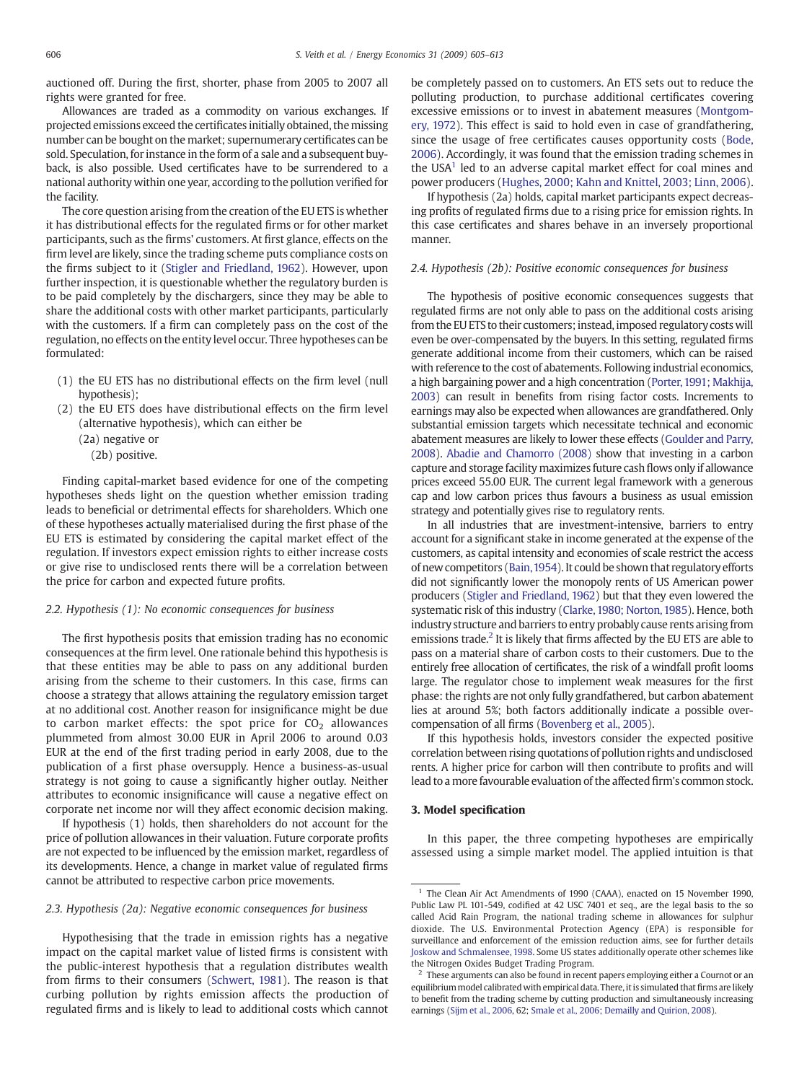auctioned off. During the first, shorter, phase from 2005 to 2007 all rights were granted for free.

Allowances are traded as a commodity on various exchanges. If projected emissions exceed the certificates initially obtained, themissing number can be bought on the market; supernumerary certificates can be sold. Speculation, for instance in the form of a sale and a subsequent buyback, is also possible. Used certificates have to be surrendered to a national authority within one year, according to the pollution verified for the facility.

The core question arising from the creation of the EU ETS is whether it has distributional effects for the regulated firms or for other market participants, such as the firms' customers. At first glance, effects on the firm level are likely, since the trading scheme puts compliance costs on the firms subject to it ([Stigler and Friedland, 1962\)](#page--1-0). However, upon further inspection, it is questionable whether the regulatory burden is to be paid completely by the dischargers, since they may be able to share the additional costs with other market participants, particularly with the customers. If a firm can completely pass on the cost of the regulation, no effects on the entity level occur. Three hypotheses can be formulated:

- (1) the EU ETS has no distributional effects on the firm level (null hypothesis);
- (2) the EU ETS does have distributional effects on the firm level (alternative hypothesis), which can either be

(2a) negative or

(2b) positive.

Finding capital-market based evidence for one of the competing hypotheses sheds light on the question whether emission trading leads to beneficial or detrimental effects for shareholders. Which one of these hypotheses actually materialised during the first phase of the EU ETS is estimated by considering the capital market effect of the regulation. If investors expect emission rights to either increase costs or give rise to undisclosed rents there will be a correlation between the price for carbon and expected future profits.

#### 2.2. Hypothesis (1): No economic consequences for business

The first hypothesis posits that emission trading has no economic consequences at the firm level. One rationale behind this hypothesis is that these entities may be able to pass on any additional burden arising from the scheme to their customers. In this case, firms can choose a strategy that allows attaining the regulatory emission target at no additional cost. Another reason for insignificance might be due to carbon market effects: the spot price for  $CO<sub>2</sub>$  allowances plummeted from almost 30.00 EUR in April 2006 to around 0.03 EUR at the end of the first trading period in early 2008, due to the publication of a first phase oversupply. Hence a business-as-usual strategy is not going to cause a significantly higher outlay. Neither attributes to economic insignificance will cause a negative effect on corporate net income nor will they affect economic decision making.

If hypothesis (1) holds, then shareholders do not account for the price of pollution allowances in their valuation. Future corporate profits are not expected to be influenced by the emission market, regardless of its developments. Hence, a change in market value of regulated firms cannot be attributed to respective carbon price movements.

#### 2.3. Hypothesis (2a): Negative economic consequences for business

Hypothesising that the trade in emission rights has a negative impact on the capital market value of listed firms is consistent with the public-interest hypothesis that a regulation distributes wealth from firms to their consumers [\(Schwert, 1981](#page--1-0)). The reason is that curbing pollution by rights emission affects the production of regulated firms and is likely to lead to additional costs which cannot

be completely passed on to customers. An ETS sets out to reduce the polluting production, to purchase additional certificates covering excessive emissions or to invest in abatement measures [\(Montgom](#page--1-0)[ery, 1972](#page--1-0)). This effect is said to hold even in case of grandfathering, since the usage of free certificates causes opportunity costs ([Bode,](#page--1-0) [2006](#page--1-0)). Accordingly, it was found that the emission trading schemes in the USA $<sup>1</sup>$  led to an adverse capital market effect for coal mines and</sup> power producers [\(Hughes, 2000; Kahn and Knittel, 2003; Linn, 2006](#page--1-0)).

If hypothesis (2a) holds, capital market participants expect decreasing profits of regulated firms due to a rising price for emission rights. In this case certificates and shares behave in an inversely proportional manner.

#### 2.4. Hypothesis (2b): Positive economic consequences for business

The hypothesis of positive economic consequences suggests that regulated firms are not only able to pass on the additional costs arising from the EU ETS to their customers; instead, imposed regulatory costs will even be over-compensated by the buyers. In this setting, regulated firms generate additional income from their customers, which can be raised with reference to the cost of abatements. Following industrial economics, a high bargaining power and a high concentration [\(Porter,1991; Makhija,](#page--1-0) [2003\)](#page--1-0) can result in benefits from rising factor costs. Increments to earnings may also be expected when allowances are grandfathered. Only substantial emission targets which necessitate technical and economic abatement measures are likely to lower these effects [\(Goulder and Parry,](#page--1-0) [2008\)](#page--1-0). [Abadie and Chamorro \(2008\)](#page--1-0) show that investing in a carbon capture and storage facility maximizes future cash flows only if allowance prices exceed 55.00 EUR. The current legal framework with a generous cap and low carbon prices thus favours a business as usual emission strategy and potentially gives rise to regulatory rents.

In all industries that are investment-intensive, barriers to entry account for a significant stake in income generated at the expense of the customers, as capital intensity and economies of scale restrict the access of new competitors [\(Bain,1954\)](#page--1-0). It could be shown that regulatory efforts did not significantly lower the monopoly rents of US American power producers ([Stigler and Friedland, 1962\)](#page--1-0) but that they even lowered the systematic risk of this industry [\(Clarke, 1980; Norton, 1985](#page--1-0)). Hence, both industry structure and barriers to entry probably cause rents arising from emissions trade.<sup>2</sup> It is likely that firms affected by the EU ETS are able to pass on a material share of carbon costs to their customers. Due to the entirely free allocation of certificates, the risk of a windfall profit looms large. The regulator chose to implement weak measures for the first phase: the rights are not only fully grandfathered, but carbon abatement lies at around 5%; both factors additionally indicate a possible overcompensation of all firms [\(Bovenberg et al., 2005](#page--1-0)).

If this hypothesis holds, investors consider the expected positive correlation between rising quotations of pollution rights and undisclosed rents. A higher price for carbon will then contribute to profits and will lead to a more favourable evaluation of the affected firm's common stock.

#### 3. Model specification

In this paper, the three competing hypotheses are empirically assessed using a simple market model. The applied intuition is that

<sup>&</sup>lt;sup>1</sup> The Clean Air Act Amendments of 1990 (CAAA), enacted on 15 November 1990, Public Law PL 101-549, codified at 42 USC 7401 et seq., are the legal basis to the so called Acid Rain Program, the national trading scheme in allowances for sulphur dioxide. The U.S. Environmental Protection Agency (EPA) is responsible for surveillance and enforcement of the emission reduction aims, see for further details [Joskow and Schmalensee, 1998.](#page--1-0) Some US states additionally operate other schemes like the Nitrogen Oxides Budget Trading Program.

<sup>2</sup> These arguments can also be found in recent papers employing either a Cournot or an equilibrium model calibrated with empirical data. There, it is simulated that firms are likely to benefit from the trading scheme by cutting production and simultaneously increasing earnings [\(Sijm et al., 2006,](#page--1-0) 62; [Smale et al., 2006; Demailly and Quirion, 2008\)](#page--1-0).